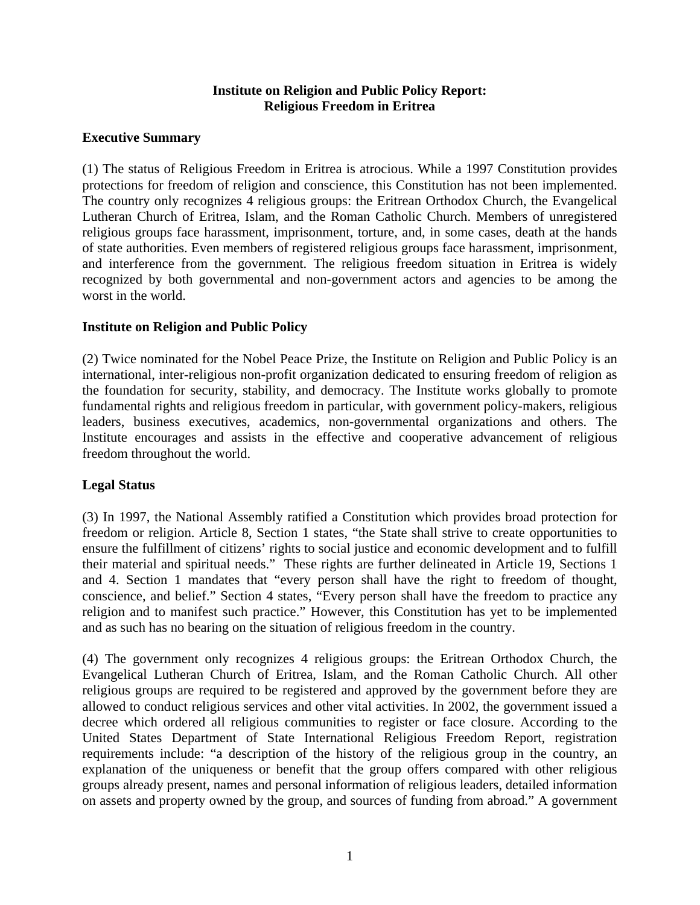#### **Institute on Religion and Public Policy Report: Religious Freedom in Eritrea**

#### **Executive Summary**

(1) The status of Religious Freedom in Eritrea is atrocious. While a 1997 Constitution provides protections for freedom of religion and conscience, this Constitution has not been implemented. The country only recognizes 4 religious groups: the Eritrean Orthodox Church, the Evangelical Lutheran Church of Eritrea, Islam, and the Roman Catholic Church. Members of unregistered religious groups face harassment, imprisonment, torture, and, in some cases, death at the hands of state authorities. Even members of registered religious groups face harassment, imprisonment, and interference from the government. The religious freedom situation in Eritrea is widely recognized by both governmental and non-government actors and agencies to be among the worst in the world.

### **Institute on Religion and Public Policy**

(2) Twice nominated for the Nobel Peace Prize, the Institute on Religion and Public Policy is an international, inter-religious non-profit organization dedicated to ensuring freedom of religion as the foundation for security, stability, and democracy. The Institute works globally to promote fundamental rights and religious freedom in particular, with government policy-makers, religious leaders, business executives, academics, non-governmental organizations and others. The Institute encourages and assists in the effective and cooperative advancement of religious freedom throughout the world.

## **Legal Status**

(3) In 1997, the National Assembly ratified a Constitution which provides broad protection for freedom or religion. Article 8, Section 1 states, "the State shall strive to create opportunities to ensure the fulfillment of citizens' rights to social justice and economic development and to fulfill their material and spiritual needs." These rights are further delineated in Article 19, Sections 1 and 4. Section 1 mandates that "every person shall have the right to freedom of thought, conscience, and belief." Section 4 states, "Every person shall have the freedom to practice any religion and to manifest such practice." However, this Constitution has yet to be implemented and as such has no bearing on the situation of religious freedom in the country.

(4) The government only recognizes 4 religious groups: the Eritrean Orthodox Church, the Evangelical Lutheran Church of Eritrea, Islam, and the Roman Catholic Church. All other religious groups are required to be registered and approved by the government before they are allowed to conduct religious services and other vital activities. In 2002, the government issued a decree which ordered all religious communities to register or face closure. According to the United States Department of State International Religious Freedom Report, registration requirements include: "a description of the history of the religious group in the country, an explanation of the uniqueness or benefit that the group offers compared with other religious groups already present, names and personal information of religious leaders, detailed information on assets and property owned by the group, and sources of funding from abroad." A government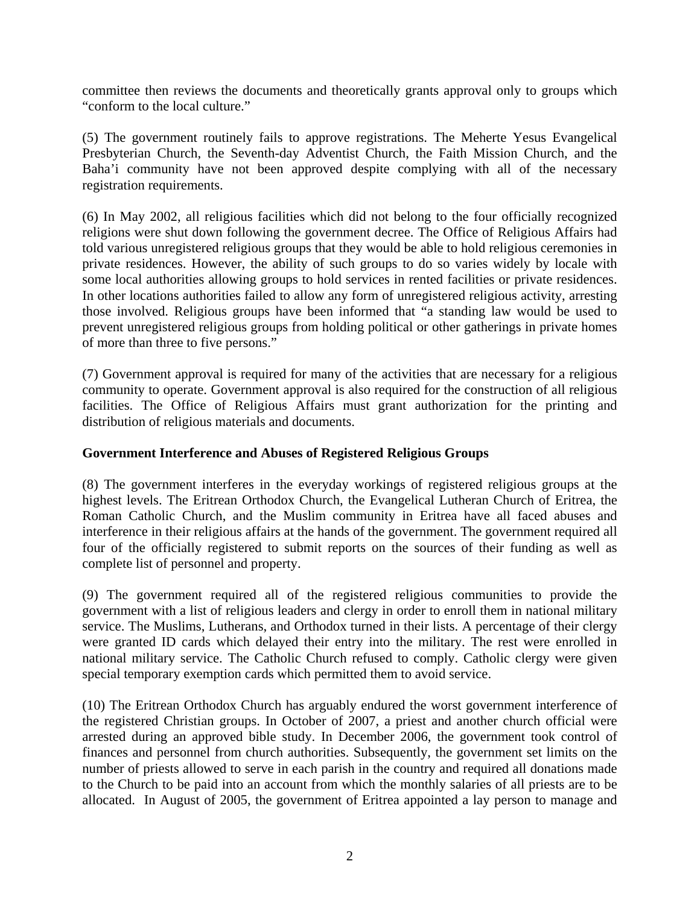committee then reviews the documents and theoretically grants approval only to groups which "conform to the local culture."

(5) The government routinely fails to approve registrations. The Meherte Yesus Evangelical Presbyterian Church, the Seventh-day Adventist Church, the Faith Mission Church, and the Baha'i community have not been approved despite complying with all of the necessary registration requirements.

(6) In May 2002, all religious facilities which did not belong to the four officially recognized religions were shut down following the government decree. The Office of Religious Affairs had told various unregistered religious groups that they would be able to hold religious ceremonies in private residences. However, the ability of such groups to do so varies widely by locale with some local authorities allowing groups to hold services in rented facilities or private residences. In other locations authorities failed to allow any form of unregistered religious activity, arresting those involved. Religious groups have been informed that "a standing law would be used to prevent unregistered religious groups from holding political or other gatherings in private homes of more than three to five persons."

(7) Government approval is required for many of the activities that are necessary for a religious community to operate. Government approval is also required for the construction of all religious facilities. The Office of Religious Affairs must grant authorization for the printing and distribution of religious materials and documents.

#### **Government Interference and Abuses of Registered Religious Groups**

(8) The government interferes in the everyday workings of registered religious groups at the highest levels. The Eritrean Orthodox Church, the Evangelical Lutheran Church of Eritrea, the Roman Catholic Church, and the Muslim community in Eritrea have all faced abuses and interference in their religious affairs at the hands of the government. The government required all four of the officially registered to submit reports on the sources of their funding as well as complete list of personnel and property.

(9) The government required all of the registered religious communities to provide the government with a list of religious leaders and clergy in order to enroll them in national military service. The Muslims, Lutherans, and Orthodox turned in their lists. A percentage of their clergy were granted ID cards which delayed their entry into the military. The rest were enrolled in national military service. The Catholic Church refused to comply. Catholic clergy were given special temporary exemption cards which permitted them to avoid service.

(10) The Eritrean Orthodox Church has arguably endured the worst government interference of the registered Christian groups. In October of 2007, a priest and another church official were arrested during an approved bible study. In December 2006, the government took control of finances and personnel from church authorities. Subsequently, the government set limits on the number of priests allowed to serve in each parish in the country and required all donations made to the Church to be paid into an account from which the monthly salaries of all priests are to be allocated. In August of 2005, the government of Eritrea appointed a lay person to manage and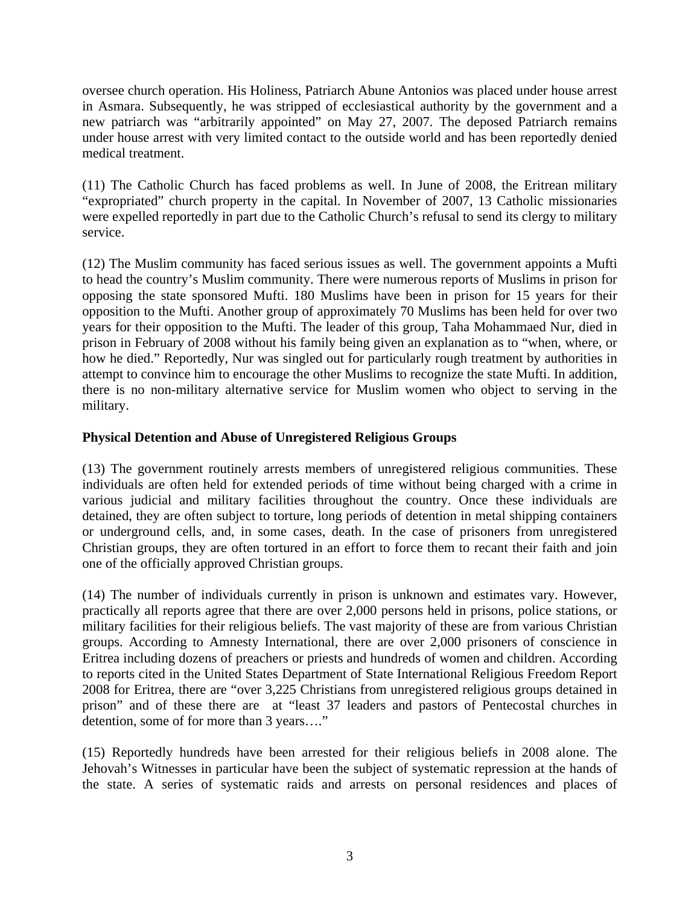oversee church operation. His Holiness, Patriarch Abune Antonios was placed under house arrest in Asmara. Subsequently, he was stripped of ecclesiastical authority by the government and a new patriarch was "arbitrarily appointed" on May 27, 2007. The deposed Patriarch remains under house arrest with very limited contact to the outside world and has been reportedly denied medical treatment.

(11) The Catholic Church has faced problems as well. In June of 2008, the Eritrean military "expropriated" church property in the capital. In November of 2007, 13 Catholic missionaries were expelled reportedly in part due to the Catholic Church's refusal to send its clergy to military service.

(12) The Muslim community has faced serious issues as well. The government appoints a Mufti to head the country's Muslim community. There were numerous reports of Muslims in prison for opposing the state sponsored Mufti. 180 Muslims have been in prison for 15 years for their opposition to the Mufti. Another group of approximately 70 Muslims has been held for over two years for their opposition to the Mufti. The leader of this group, Taha Mohammaed Nur, died in prison in February of 2008 without his family being given an explanation as to "when, where, or how he died." Reportedly, Nur was singled out for particularly rough treatment by authorities in attempt to convince him to encourage the other Muslims to recognize the state Mufti. In addition, there is no non-military alternative service for Muslim women who object to serving in the military.

# **Physical Detention and Abuse of Unregistered Religious Groups**

(13) The government routinely arrests members of unregistered religious communities. These individuals are often held for extended periods of time without being charged with a crime in various judicial and military facilities throughout the country. Once these individuals are detained, they are often subject to torture, long periods of detention in metal shipping containers or underground cells, and, in some cases, death. In the case of prisoners from unregistered Christian groups, they are often tortured in an effort to force them to recant their faith and join one of the officially approved Christian groups.

(14) The number of individuals currently in prison is unknown and estimates vary. However, practically all reports agree that there are over 2,000 persons held in prisons, police stations, or military facilities for their religious beliefs. The vast majority of these are from various Christian groups. According to Amnesty International, there are over 2,000 prisoners of conscience in Eritrea including dozens of preachers or priests and hundreds of women and children. According to reports cited in the United States Department of State International Religious Freedom Report 2008 for Eritrea, there are "over 3,225 Christians from unregistered religious groups detained in prison" and of these there are at "least 37 leaders and pastors of Pentecostal churches in detention, some of for more than 3 years…."

(15) Reportedly hundreds have been arrested for their religious beliefs in 2008 alone. The Jehovah's Witnesses in particular have been the subject of systematic repression at the hands of the state. A series of systematic raids and arrests on personal residences and places of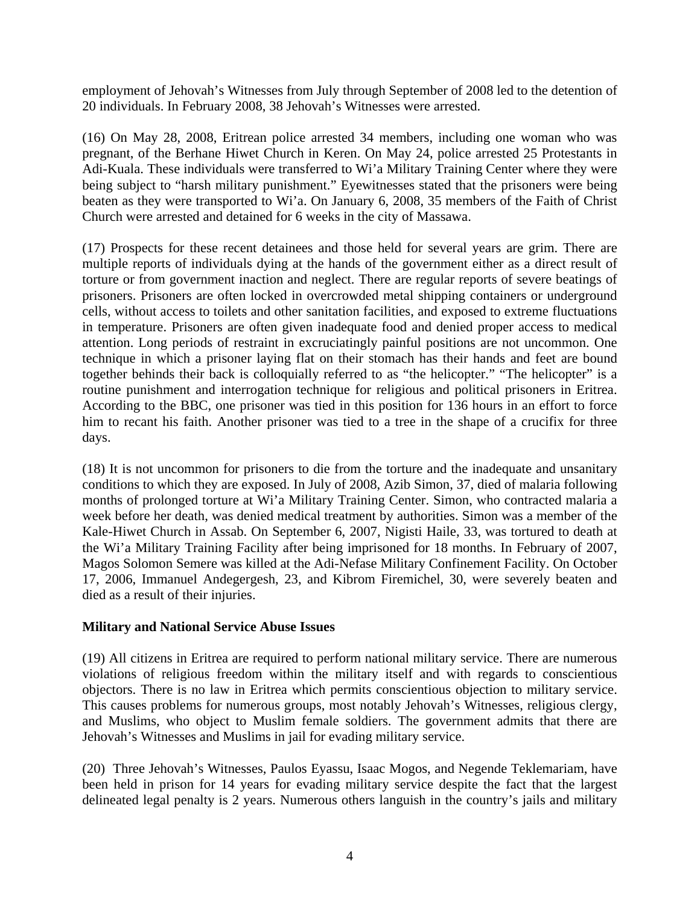employment of Jehovah's Witnesses from July through September of 2008 led to the detention of 20 individuals. In February 2008, 38 Jehovah's Witnesses were arrested.

(16) On May 28, 2008, Eritrean police arrested 34 members, including one woman who was pregnant, of the Berhane Hiwet Church in Keren. On May 24, police arrested 25 Protestants in Adi-Kuala. These individuals were transferred to Wi'a Military Training Center where they were being subject to "harsh military punishment." Eyewitnesses stated that the prisoners were being beaten as they were transported to Wi'a. On January 6, 2008, 35 members of the Faith of Christ Church were arrested and detained for 6 weeks in the city of Massawa.

(17) Prospects for these recent detainees and those held for several years are grim. There are multiple reports of individuals dying at the hands of the government either as a direct result of torture or from government inaction and neglect. There are regular reports of severe beatings of prisoners. Prisoners are often locked in overcrowded metal shipping containers or underground cells, without access to toilets and other sanitation facilities, and exposed to extreme fluctuations in temperature. Prisoners are often given inadequate food and denied proper access to medical attention. Long periods of restraint in excruciatingly painful positions are not uncommon. One technique in which a prisoner laying flat on their stomach has their hands and feet are bound together behinds their back is colloquially referred to as "the helicopter." "The helicopter" is a routine punishment and interrogation technique for religious and political prisoners in Eritrea. According to the BBC, one prisoner was tied in this position for 136 hours in an effort to force him to recant his faith. Another prisoner was tied to a tree in the shape of a crucifix for three days.

(18) It is not uncommon for prisoners to die from the torture and the inadequate and unsanitary conditions to which they are exposed. In July of 2008, Azib Simon, 37, died of malaria following months of prolonged torture at Wi'a Military Training Center. Simon, who contracted malaria a week before her death, was denied medical treatment by authorities. Simon was a member of the Kale-Hiwet Church in Assab. On September 6, 2007, Nigisti Haile, 33, was tortured to death at the Wi'a Military Training Facility after being imprisoned for 18 months. In February of 2007, Magos Solomon Semere was killed at the Adi-Nefase Military Confinement Facility. On October 17, 2006, Immanuel Andegergesh, 23, and Kibrom Firemichel, 30, were severely beaten and died as a result of their injuries.

#### **Military and National Service Abuse Issues**

(19) All citizens in Eritrea are required to perform national military service. There are numerous violations of religious freedom within the military itself and with regards to conscientious objectors. There is no law in Eritrea which permits conscientious objection to military service. This causes problems for numerous groups, most notably Jehovah's Witnesses, religious clergy, and Muslims, who object to Muslim female soldiers. The government admits that there are Jehovah's Witnesses and Muslims in jail for evading military service.

(20) Three Jehovah's Witnesses, Paulos Eyassu, Isaac Mogos, and Negende Teklemariam, have been held in prison for 14 years for evading military service despite the fact that the largest delineated legal penalty is 2 years. Numerous others languish in the country's jails and military